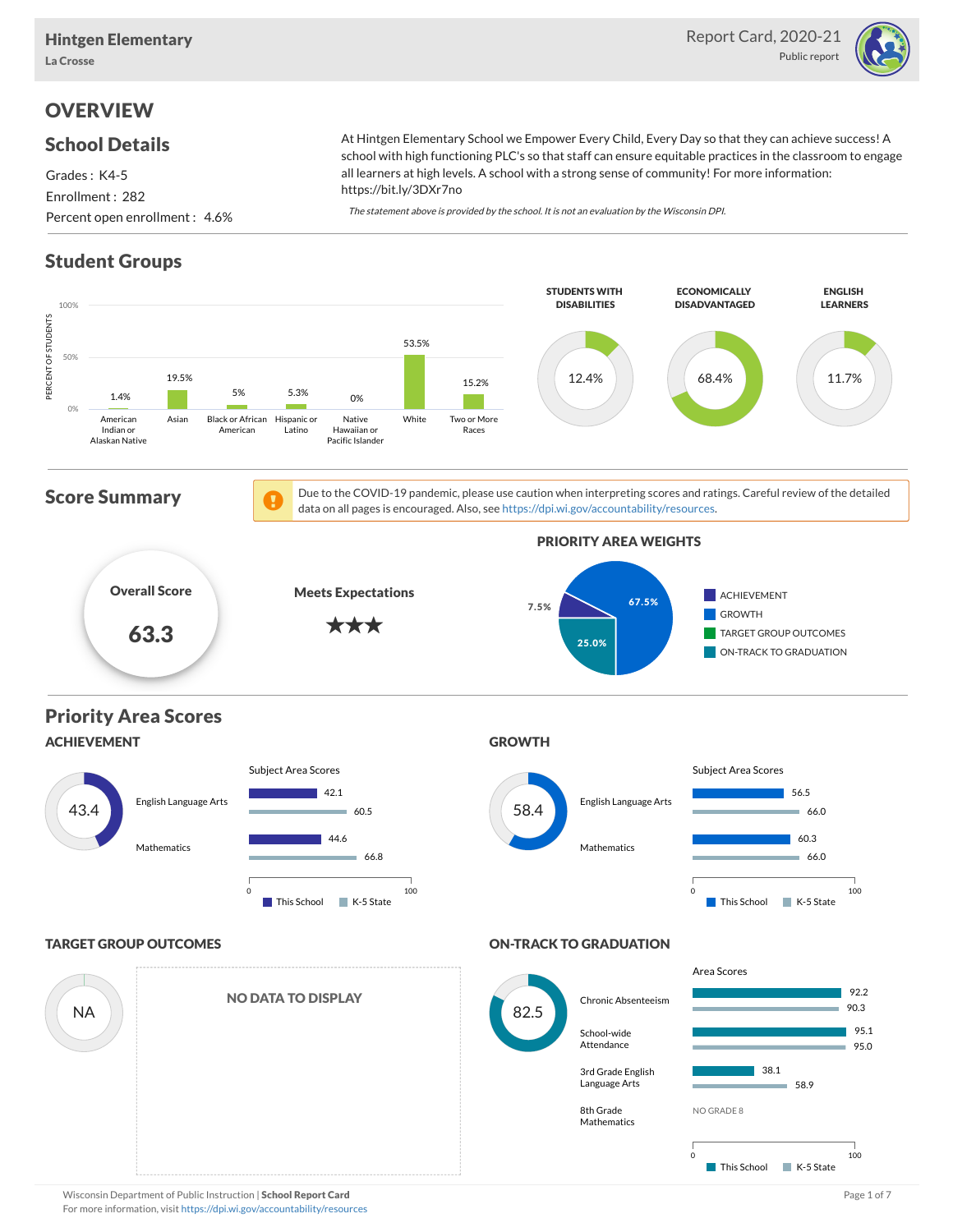

# **OVERVIEW**

#### School Details

Grades : K4-5 Enrollment : 282 Percent open enrollment : 4.6% At Hintgen Elementary School we Empower Every Child, Every Day so that they can achieve success! A school with high functioning PLC's so that staff can ensure equitable practices in the classroom to engage all learners at high levels. A school with a strong sense of community! For more information: https://bit.ly/3DXr7no

The statement above is provided by the school. It is not an evaluation by the Wisconsin DPI.

# Student Groups

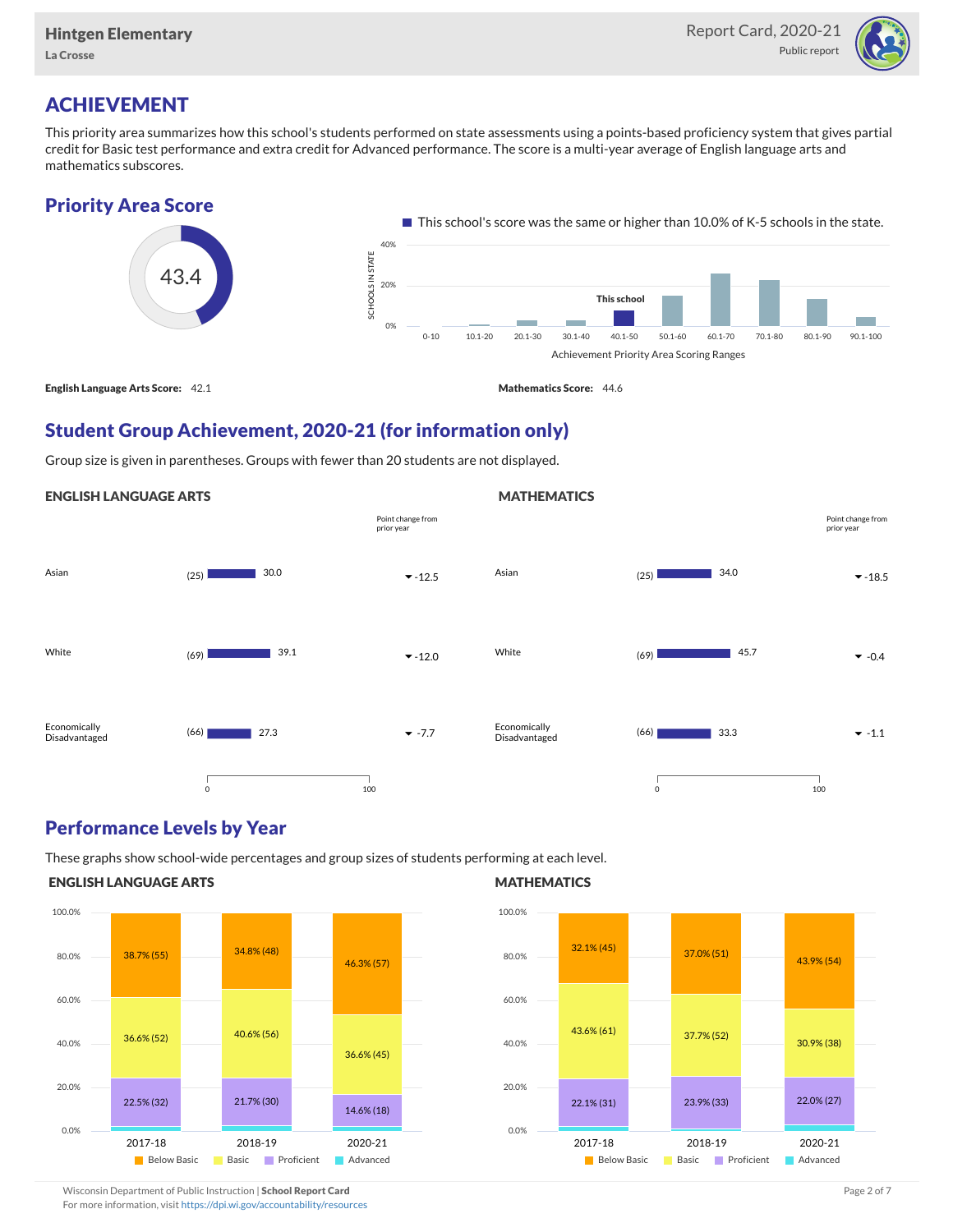

# ACHIEVEMENT

This priority area summarizes how this school's students performed on state assessments using a points-based proficiency system that gives partial credit for Basic test performance and extra credit for Advanced performance. The score is a multi-year average of English language arts and mathematics subscores.





## Student Group Achievement, 2020-21 (for information only)

Group size is given in parentheses. Groups with fewer than 20 students are not displayed.

#### ENGLISH LANGUAGE ARTS



#### Performance Levels by Year

These graphs show school-wide percentages and group sizes of students performing at each level.

#### ENGLISH LANGUAGE ARTS



#### **MATHEMATICS**

**MATHEMATICS** 



Wisconsin Department of Public Instruction | School Report Card Page 2 of 7 and 2008 and 2009 and 2 of 7 and 2 of 7

For more information, visit <https://dpi.wi.gov/accountability/resources>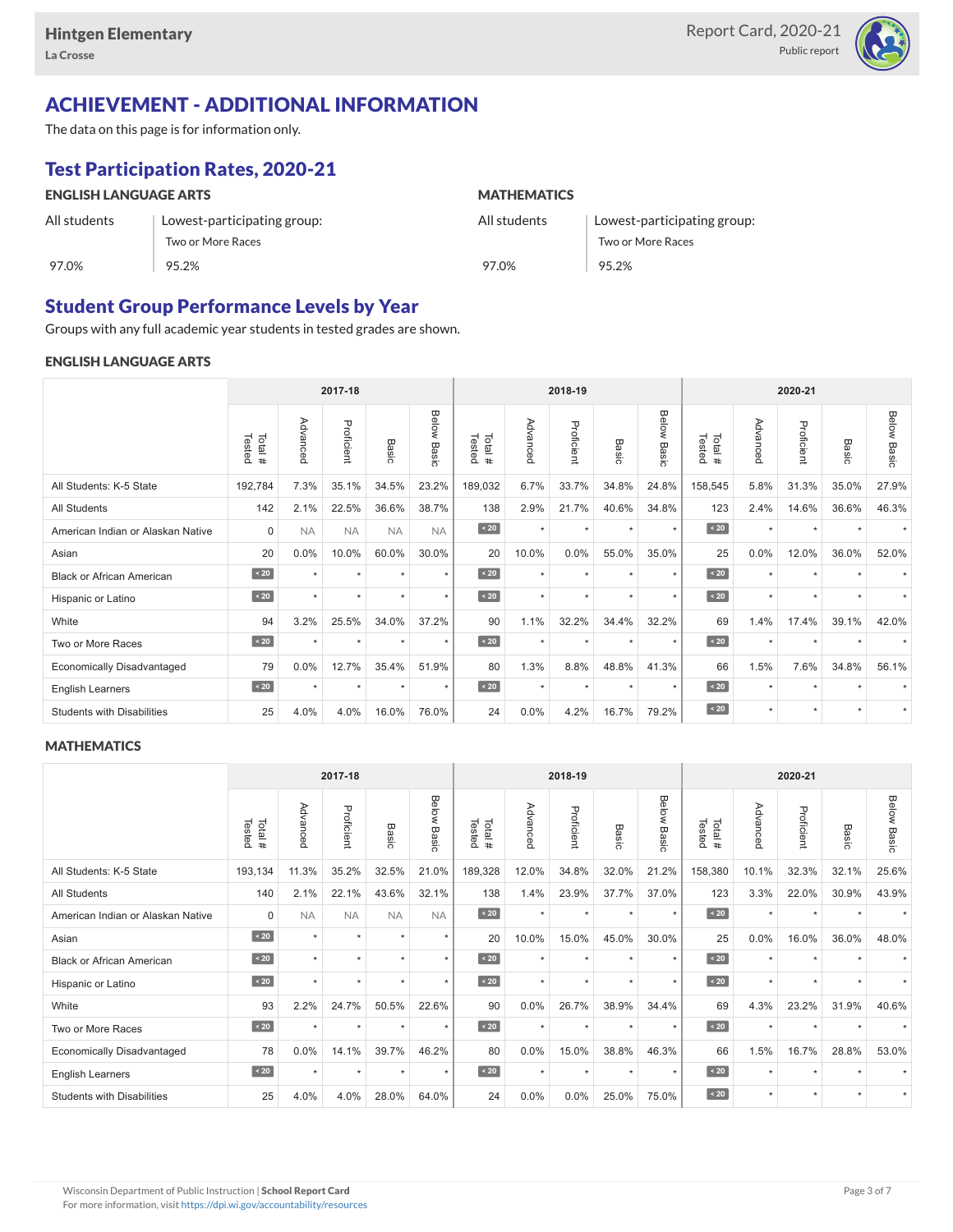

# ACHIEVEMENT - ADDITIONAL INFORMATION

The data on this page is for information only.

# Test Participation Rates, 2020-21

| <b>ENGLISH LANGUAGE ARTS</b> |                             | <b>MATHEMATICS</b> |                             |  |  |  |  |
|------------------------------|-----------------------------|--------------------|-----------------------------|--|--|--|--|
| All students                 | Lowest-participating group: | All students       | Lowest-participating group: |  |  |  |  |
|                              | Two or More Races           |                    | Two or More Races           |  |  |  |  |
| 97.0%                        | 95.2%                       | 97.0%              | 95.2%                       |  |  |  |  |

## Student Group Performance Levels by Year

Groups with any full academic year students in tested grades are shown.

#### ENGLISH LANGUAGE ARTS

|                                   | 2017-18          |           |            |           |                    |                   | 2018-19  |            |         | 2020-21        |                  |          |            |                      |                    |
|-----------------------------------|------------------|-----------|------------|-----------|--------------------|-------------------|----------|------------|---------|----------------|------------------|----------|------------|----------------------|--------------------|
|                                   | Tested<br>Total# | Advanced  | Proficient | Basic     | <b>Below Basic</b> | Tested<br>Total # | Advanced | Proficient | Basic   | Below<br>Basic | Tested<br>Total# | Advanced | Proficient | Basic                | <b>Below Basic</b> |
| All Students: K-5 State           | 192,784          | 7.3%      | 35.1%      | 34.5%     | 23.2%              | 189,032           | 6.7%     | 33.7%      | 34.8%   | 24.8%          | 158,545          | 5.8%     | 31.3%      | 35.0%                | 27.9%              |
| All Students                      | 142              | 2.1%      | 22.5%      | 36.6%     | 38.7%              | 138               | 2.9%     | 21.7%      | 40.6%   | 34.8%          | 123              | 2.4%     | 14.6%      | 36.6%                | 46.3%              |
| American Indian or Alaskan Native | $\mathbf 0$      | <b>NA</b> | <b>NA</b>  | <b>NA</b> | <b>NA</b>          | $\angle 20$       | $\star$  | $\star$    | $\star$ | $\star$        | $\sim 20$        | $\star$  | $\star$    | $\ddot{}$            |                    |
| Asian                             | 20               | 0.0%      | 10.0%      | 60.0%     | 30.0%              | 20                | 10.0%    | 0.0%       | 55.0%   | 35.0%          | 25               | 0.0%     | 12.0%      | 36.0%                | 52.0%              |
| <b>Black or African American</b>  | $\sim 20$        | $\star$   | $\star$    | $\star$   | $\star$            | $\sim 20$         | $\star$  | $\star$    | $\star$ | $\star$        | $\sim 20$        | $\star$  | $\star$    |                      |                    |
| Hispanic or Latino                | $\angle 20$      | ٠         | $\star$    | ٠         | $\star$            | $\angle 20$       | $\star$  | $\star$    | $\star$ | $\star$        | $\angle 20$      | $\star$  | $\star$    | $\ddot{\phantom{1}}$ |                    |
| White                             | 94               | 3.2%      | 25.5%      | 34.0%     | 37.2%              | 90                | 1.1%     | 32.2%      | 34.4%   | 32.2%          | 69               | 1.4%     | 17.4%      | 39.1%                | 42.0%              |
| Two or More Races                 | $\sim 20$        |           | ٠          | ٠         | $\star$            | $\sim 20$         | $\star$  | $\star$    |         | ٠              | $\sim 20$        | $\star$  | $\star$    |                      |                    |
| <b>Economically Disadvantaged</b> | 79               | 0.0%      | 12.7%      | 35.4%     | 51.9%              | 80                | 1.3%     | 8.8%       | 48.8%   | 41.3%          | 66               | 1.5%     | 7.6%       | 34.8%                | 56.1%              |
| <b>English Learners</b>           | $\sim 20$        | $\star$   | $\star$    | $\star$   | $^\star$           | $\sim 20$         | $\star$  | $\star$    | $\star$ | $\star$        | $\sim 20$        | $\star$  | $\star$    |                      |                    |
| <b>Students with Disabilities</b> | 25               | 4.0%      | 4.0%       | 16.0%     | 76.0%              | 24                | 0.0%     | 4.2%       | 16.7%   | 79.2%          | $\sim 20$        | $\star$  | $\star$    | $\star$              | $\star$            |

#### **MATHEMATICS**

|                                   | 2017-18           |                      |            |           |                |                  |          | 2018-19    |                      |                |                  | 2020-21  |            |           |                    |
|-----------------------------------|-------------------|----------------------|------------|-----------|----------------|------------------|----------|------------|----------------------|----------------|------------------|----------|------------|-----------|--------------------|
|                                   | Tested<br>Total # | Advanced             | Proficient | Basic     | Below<br>Basic | Tested<br>Total# | Advanced | Proficient | Basic                | Below<br>Basic | Tested<br>Total# | Advanced | Proficient | Basic     | <b>Below Basic</b> |
| All Students: K-5 State           | 193,134           | 11.3%                | 35.2%      | 32.5%     | 21.0%          | 189,328          | 12.0%    | 34.8%      | 32.0%                | 21.2%          | 158,380          | 10.1%    | 32.3%      | 32.1%     | 25.6%              |
| <b>All Students</b>               | 140               | 2.1%                 | 22.1%      | 43.6%     | 32.1%          | 138              | 1.4%     | 23.9%      | 37.7%                | 37.0%          | 123              | 3.3%     | 22.0%      | 30.9%     | 43.9%              |
| American Indian or Alaskan Native | $\mathbf 0$       | <b>NA</b>            | <b>NA</b>  | <b>NA</b> | <b>NA</b>      | $\angle 20$      | $\star$  | $\star$    | $\ddot{}$            | $\star$        | $\angle 20$      | $\star$  | $\star$    |           |                    |
| Asian                             | $\sim 20$         | $\star$              | $\star$    | ٠         | $\star$        | 20               | 10.0%    | 15.0%      | 45.0%                | 30.0%          | 25               | 0.0%     | 16.0%      | 36.0%     | 48.0%              |
| <b>Black or African American</b>  | $\angle 20$       | $\star$              | $\star$    | ÷         | $\star$        | $\angle 20$      | $\star$  | $\star$    | $\star$              | $\star$        | $\sim 20$        | $\star$  | $\star$    |           |                    |
| Hispanic or Latino                | $\angle 20$       | $\ddot{}$            | $\star$    | $\star$   | $\star$        | $\angle 20$      | $\star$  | $\star$    | $\ddot{}$            | $\star$        | $\angle 20$      | $\star$  | $\star$    | $\ddot{}$ |                    |
| White                             | 93                | 2.2%                 | 24.7%      | 50.5%     | 22.6%          | 90               | 0.0%     | 26.7%      | 38.9%                | 34.4%          | 69               | 4.3%     | 23.2%      | 31.9%     | 40.6%              |
| Two or More Races                 | $\sim 20$         | $\ddot{\phantom{1}}$ | $\star$    | $\star$   | $\star$        | $\sim 20$        | $\star$  | $\star$    | $\ddot{\phantom{1}}$ | $\star$        | $\sim 20$        | $\star$  | $\star$    |           |                    |
| <b>Economically Disadvantaged</b> | 78                | 0.0%                 | 14.1%      | 39.7%     | 46.2%          | 80               | 0.0%     | 15.0%      | 38.8%                | 46.3%          | 66               | 1.5%     | 16.7%      | 28.8%     | 53.0%              |
| English Learners                  | $\leq 20$         | $\star$              | $\star$    | $\star$   | $\star$        | $\angle 20$      | $\star$  | $\star$    | $\star$              | $\star$        | $\angle 20$      | $\star$  | $\star$    | $\ddot{}$ |                    |
| <b>Students with Disabilities</b> | 25                | 4.0%                 | 4.0%       | 28.0%     | 64.0%          | 24               | 0.0%     | 0.0%       | 25.0%                | 75.0%          | $\sim 20$        | $\star$  | $\star$    | $\star$   |                    |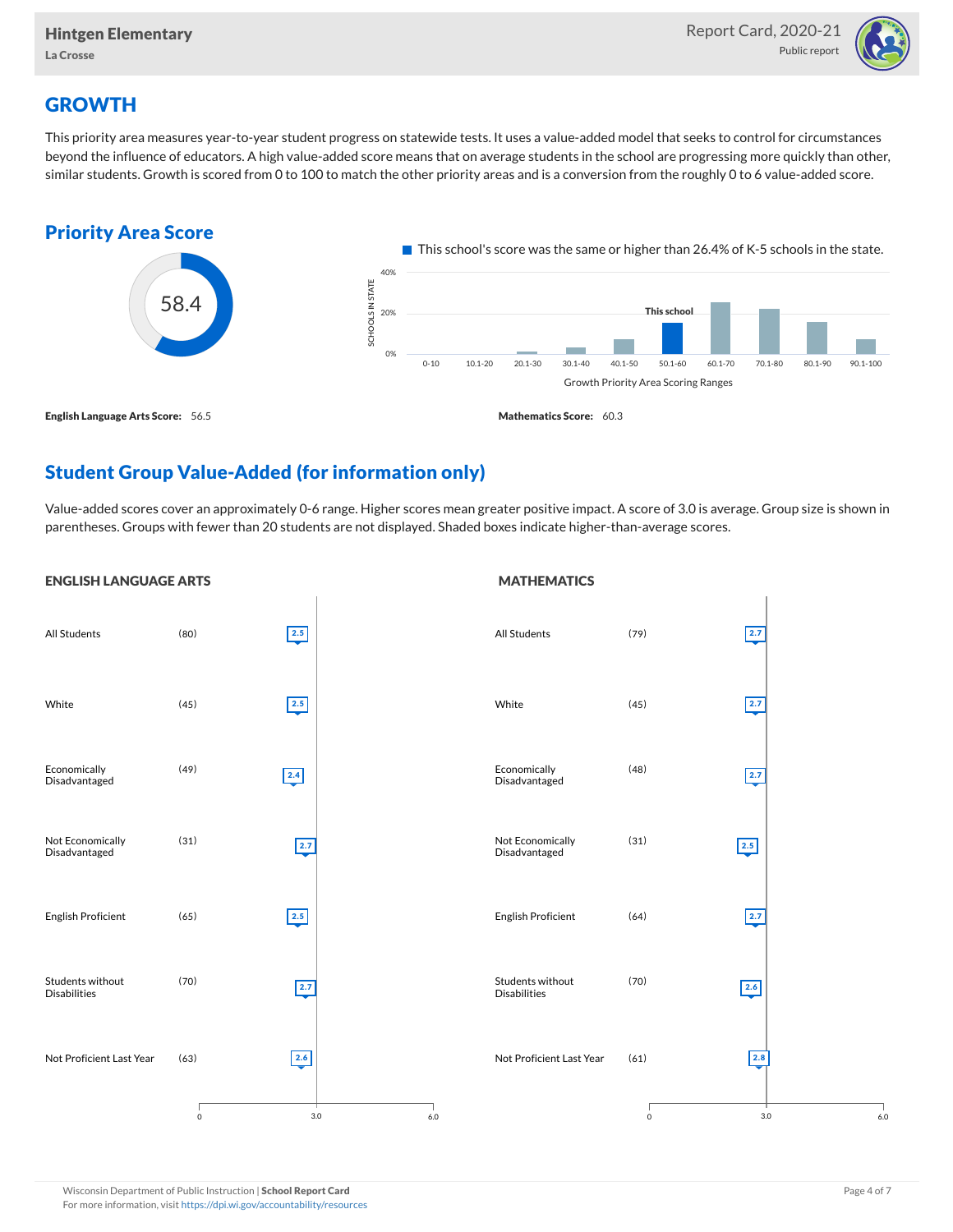

## **GROWTH**

This priority area measures year-to-year student progress on statewide tests. It uses a value-added model that seeks to control for circumstances beyond the influence of educators. A high value-added score means that on average students in the school are progressing more quickly than other, similar students. Growth is scored from 0 to 100 to match the other priority areas and is a conversion from the roughly 0 to 6 value-added score.



## Student Group Value-Added (for information only)

Value-added scores cover an approximately 0-6 range. Higher scores mean greater positive impact. A score of 3.0 is average. Group size is shown in parentheses. Groups with fewer than 20 students are not displayed. Shaded boxes indicate higher-than-average scores.

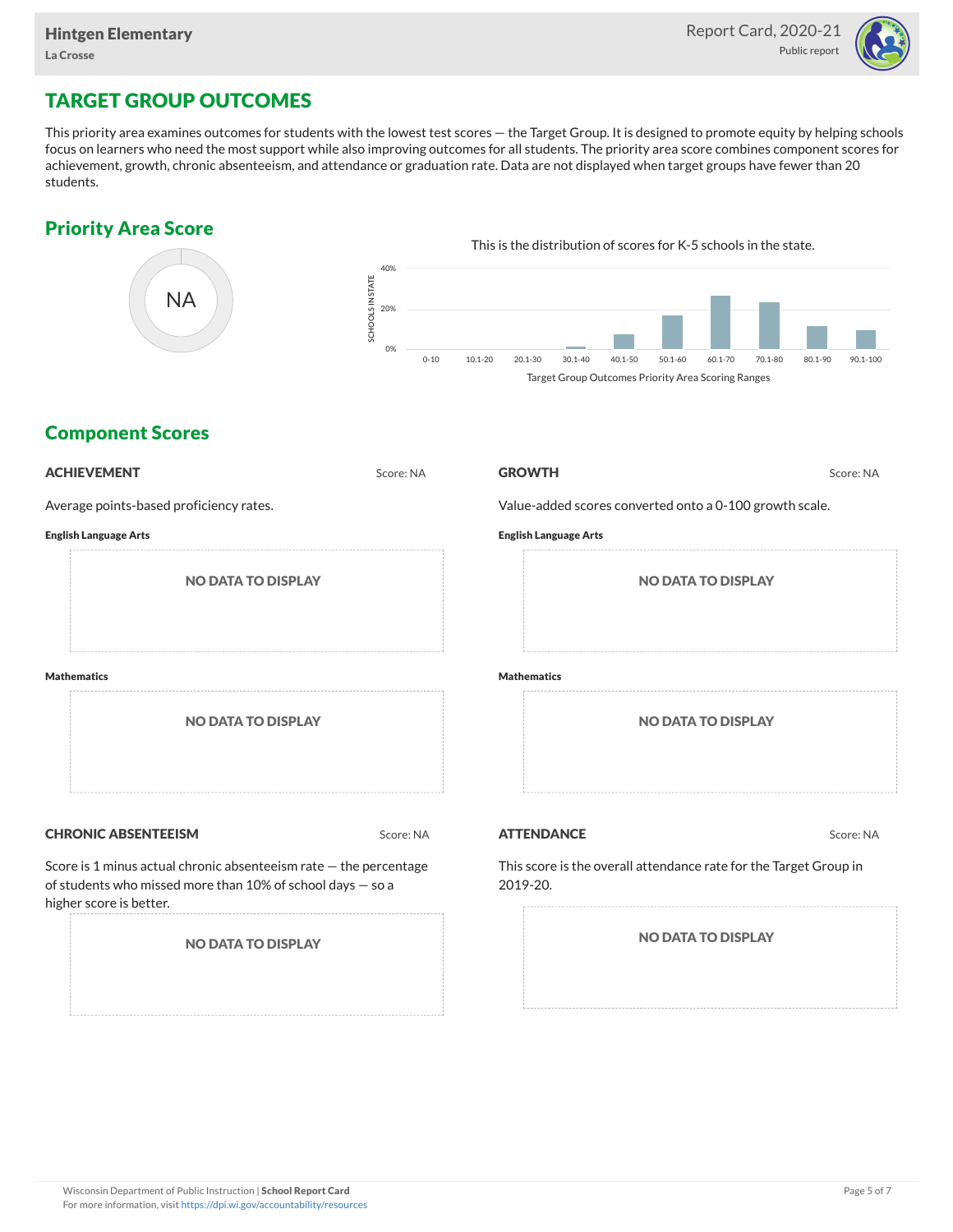

# TARGET GROUP OUTCOMES

This priority area examines outcomes for students with the lowest test scores — the Target Group. It is designed to promote equity by helping schools focus on learners who need the most support while also improving outcomes for all students. The priority area score combines component scores for achievement, growth, chronic absenteeism, and attendance or graduation rate. Data are not displayed when target groups have fewer than 20 students.

## Priority Area Score



## Component Scores

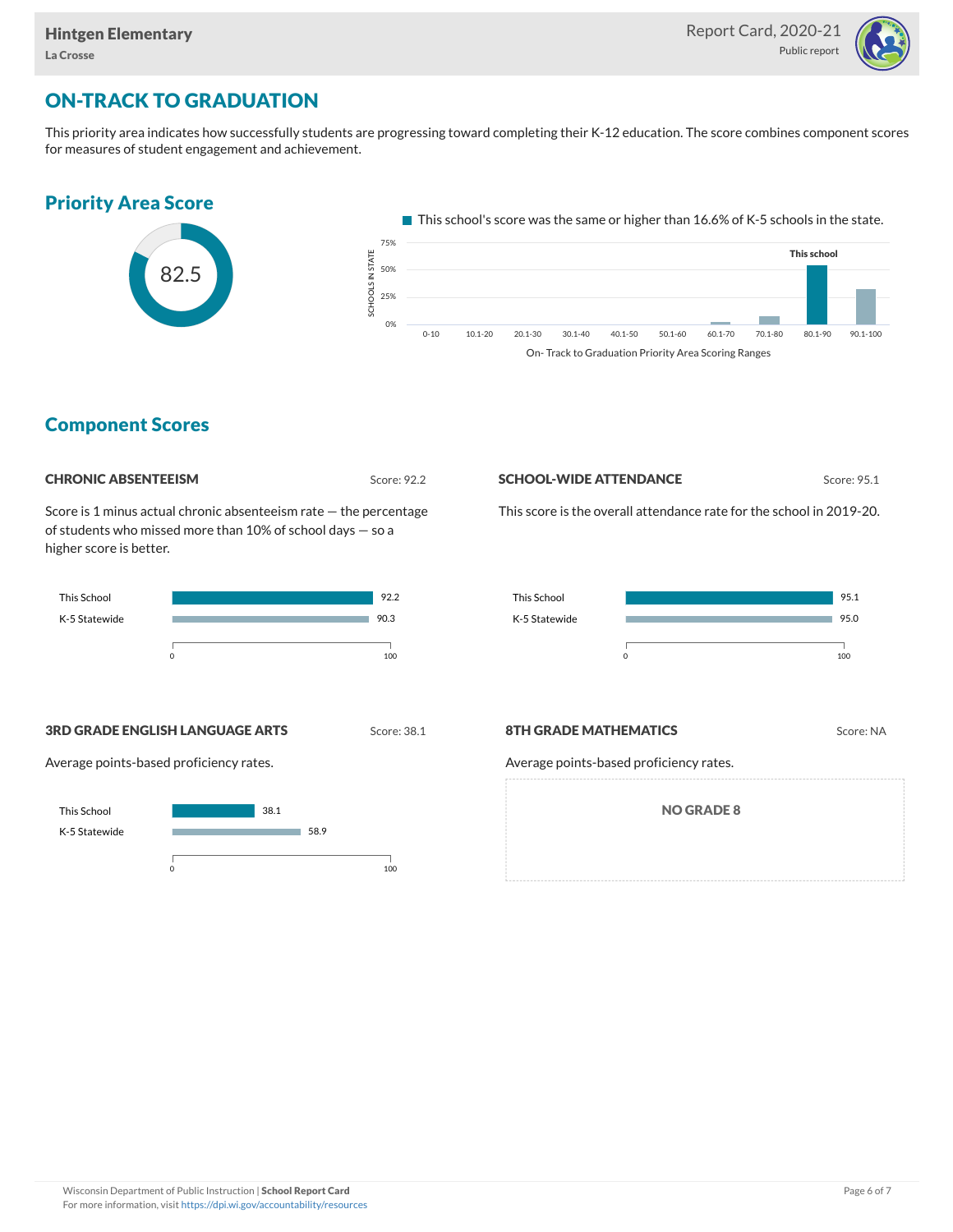

# ON-TRACK TO GRADUATION

This priority area indicates how successfully students are progressing toward completing their K-12 education. The score combines component scores for measures of student engagement and achievement.

# Priority Area Score



 $\blacksquare$  This school's score was the same or higher than 16.6% of K-5 schools in the state.



## Component Scores

| <b>CHRONIC ABSENTEEISM</b> |
|----------------------------|
|                            |

Score: 92.2

Score is 1 minus actual chronic absenteeism rate — the percentage of students who missed more than 10% of school days — so a higher score is better.



#### **SCHOOL-WIDE ATTENDANCE** Score: 95.1

This score is the overall attendance rate for the school in 2019-20.



**3RD GRADE ENGLISH LANGUAGE ARTS** Score: 38.1

Average points-based proficiency rates.



#### **8TH GRADE MATHEMATICS** Score: NA

Average points-based proficiency rates.

NO GRADE 8